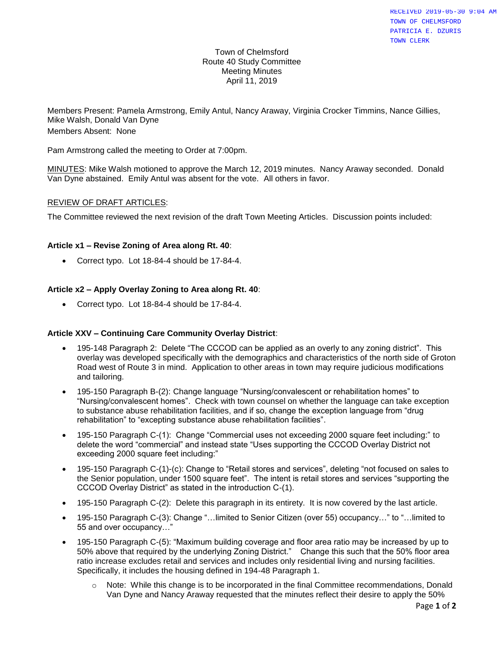#### Town of Chelmsford Route 40 Study Committee Meeting Minutes April 11, 2019

Members Present: Pamela Armstrong, Emily Antul, Nancy Araway, Virginia Crocker Timmins, Nance Gillies, Mike Walsh, Donald Van Dyne Members Absent: None

Pam Armstrong called the meeting to Order at 7:00pm.

MINUTES: Mike Walsh motioned to approve the March 12, 2019 minutes. Nancy Araway seconded. Donald Van Dyne abstained. Emily Antul was absent for the vote. All others in favor.

#### REVIEW OF DRAFT ARTICLES:

The Committee reviewed the next revision of the draft Town Meeting Articles. Discussion points included:

#### **Article x1 – Revise Zoning of Area along Rt. 40**:

• Correct typo. Lot 18-84-4 should be 17-84-4.

#### **Article x2 – Apply Overlay Zoning to Area along Rt. 40**:

• Correct typo. Lot 18-84-4 should be 17-84-4.

#### **Article XXV – Continuing Care Community Overlay District**:

- 195-148 Paragraph 2: Delete "The CCCOD can be applied as an overly to any zoning district". This overlay was developed specifically with the demographics and characteristics of the north side of Groton Road west of Route 3 in mind. Application to other areas in town may require judicious modifications and tailoring.
- 195-150 Paragraph B-(2): Change language "Nursing/convalescent or rehabilitation homes" to "Nursing/convalescent homes". Check with town counsel on whether the language can take exception to substance abuse rehabilitation facilities, and if so, change the exception language from "drug rehabilitation" to "excepting substance abuse rehabilitation facilities".
- 195-150 Paragraph C-(1): Change "Commercial uses not exceeding 2000 square feet including:" to delete the word "commercial" and instead state "Uses supporting the CCCOD Overlay District not exceeding 2000 square feet including:"
- 195-150 Paragraph C-(1)-(c): Change to "Retail stores and services", deleting "not focused on sales to the Senior population, under 1500 square feet". The intent is retail stores and services "supporting the CCCOD Overlay District" as stated in the introduction C-(1).
- 195-150 Paragraph C-(2): Delete this paragraph in its entirety. It is now covered by the last article.
- 195-150 Paragraph C-(3): Change "…limited to Senior Citizen (over 55) occupancy…" to "…limited to 55 and over occupancy…"
- 195-150 Paragraph C-(5): "Maximum building coverage and floor area ratio may be increased by up to 50% above that required by the underlying Zoning District." Change this such that the 50% floor area ratio increase excludes retail and services and includes only residential living and nursing facilities. Specifically, it includes the housing defined in 194-48 Paragraph 1.
	- $\circ$  Note: While this change is to be incorporated in the final Committee recommendations, Donald Van Dyne and Nancy Araway requested that the minutes reflect their desire to apply the 50%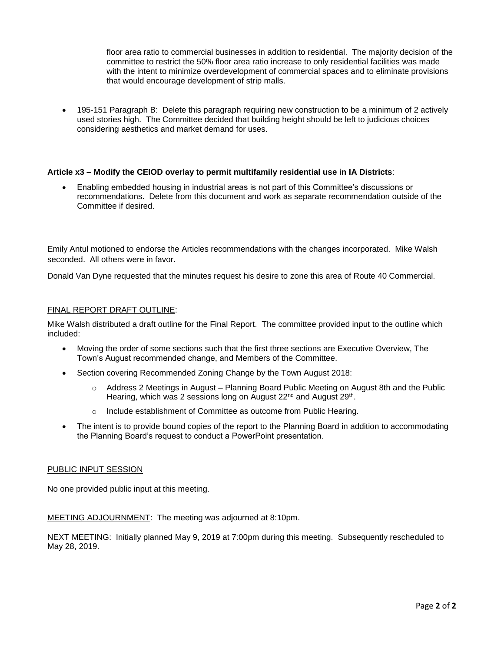floor area ratio to commercial businesses in addition to residential. The majority decision of the committee to restrict the 50% floor area ratio increase to only residential facilities was made with the intent to minimize overdevelopment of commercial spaces and to eliminate provisions that would encourage development of strip malls.

• 195-151 Paragraph B: Delete this paragraph requiring new construction to be a minimum of 2 actively used stories high. The Committee decided that building height should be left to judicious choices considering aesthetics and market demand for uses.

#### **Article x3 – Modify the CEIOD overlay to permit multifamily residential use in IA Districts**:

• Enabling embedded housing in industrial areas is not part of this Committee's discussions or recommendations. Delete from this document and work as separate recommendation outside of the Committee if desired.

Emily Antul motioned to endorse the Articles recommendations with the changes incorporated. Mike Walsh seconded. All others were in favor.

Donald Van Dyne requested that the minutes request his desire to zone this area of Route 40 Commercial.

#### FINAL REPORT DRAFT OUTLINE:

Mike Walsh distributed a draft outline for the Final Report. The committee provided input to the outline which included:

- Moving the order of some sections such that the first three sections are Executive Overview, The Town's August recommended change, and Members of the Committee.
- Section covering Recommended Zoning Change by the Town August 2018:
	- $\circ$  Address 2 Meetings in August Planning Board Public Meeting on August 8th and the Public Hearing, which was 2 sessions long on August 22<sup>nd</sup> and August 29<sup>th</sup>.
	- o Include establishment of Committee as outcome from Public Hearing.
- The intent is to provide bound copies of the report to the Planning Board in addition to accommodating the Planning Board's request to conduct a PowerPoint presentation.

#### PUBLIC INPUT SESSION

No one provided public input at this meeting.

MEETING ADJOURNMENT: The meeting was adjourned at 8:10pm.

NEXT MEETING: Initially planned May 9, 2019 at 7:00pm during this meeting. Subsequently rescheduled to May 28, 2019.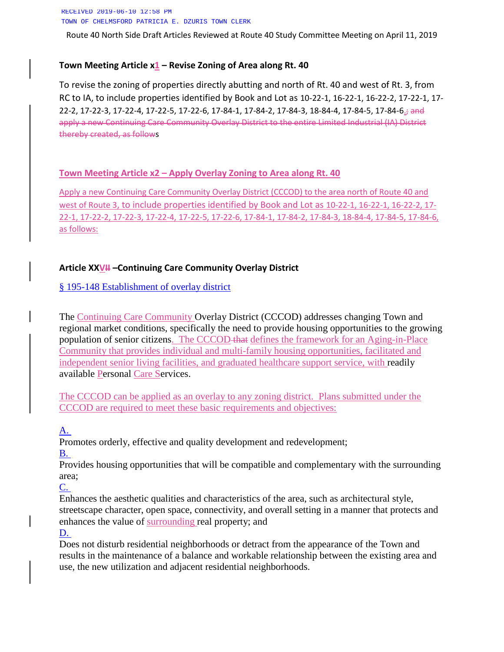RECEIVED 2019-06-10 12:58 PM TOWN OF CHELMSFORD PATRICIA E. DZURIS TOWN CLERK

Route 40 North Side Draft Articles Reviewed at Route 40 Study Committee Meeting on April 11, 2019

### **Town Meeting Article x1 – Revise Zoning of Area along Rt. 40**

To revise the zoning of properties directly abutting and north of Rt. 40 and west of Rt. 3, from RC to IA, to include properties identified by Book and Lot as 10-22-1, 16-22-1, 16-22-2, 17-22-1, 17- 22-2, 17-22-3, 17-22-4, 17-22-5, 17-22-6, 17-84-1, 17-84-2, 17-84-3, 18-84-4, 17-84-5, 17-84-6.; and apply a new Continuing Care Community Overlay District to the entire Limited Industrial (IA) District thereby created, as follows

#### **Town Meeting Article x2 – Apply Overlay Zoning to Area along Rt. 40**

Apply a new Continuing Care Community Overlay District (CCCOD) to the area north of Route 40 and west of Route 3, to include properties identified by Book and Lot as 10-22-1, 16-22-1, 16-22-2, 17- 22-1, 17-22-2, 17-22-3, 17-22-4, 17-22-5, 17-22-6, 17-84-1, 17-84-2, 17-84-3, 18-84-4, 17-84-5, 17-84-6, as follows:

### **Article XXVII –Continuing Care Community Overlay District**

### § 195-148 [Establishment of overlay district](https://www.ecode360.com/32190167#32190174)

The Continuing Care Community Overlay District (CCCOD) addresses changing Town and regional market conditions, specifically the need to provide housing opportunities to the growing population of senior citizens. The CCCOD that defines the framework for an Aging-in-Place Community that provides individual and multi-family housing opportunities, facilitated and independent senior living facilities, and graduated healthcare support service, with readily available Personal Care Services.

The CCCOD can be applied as an overlay to any zoning district. Plans submitted under the CCCOD are required to meet these basic requirements and objectives:

### [A.](https://www.ecode360.com/32190169#32190169)

Promotes orderly, effective and quality development and redevelopment;

[B.](https://www.ecode360.com/32190171#32190171)

Provides housing opportunities that will be compatible and complementary with the surrounding area;

[C.](https://www.ecode360.com/32190172#32190172)

Enhances the aesthetic qualities and characteristics of the area, such as architectural style, streetscape character, open space, connectivity, and overall setting in a manner that protects and enhances the value of surrounding real property; and

#### [D.](https://www.ecode360.com/32190173#32190173)

Does not disturb residential neighborhoods or detract from the appearance of the Town and results in the maintenance of a balance and workable relationship between the existing area and use, the new utilization and adjacent residential neighborhoods.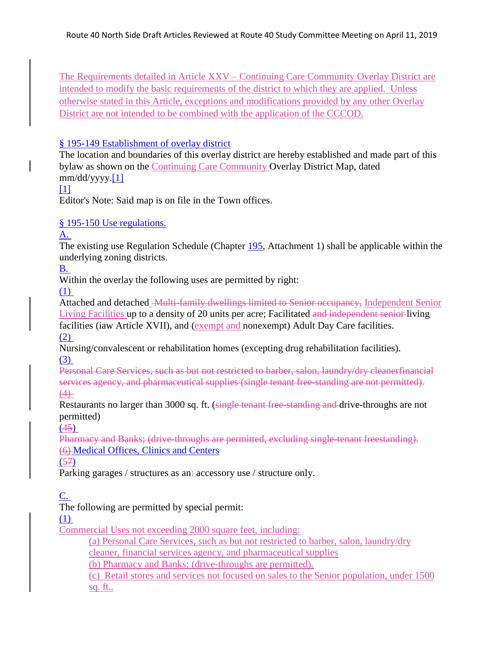The Requirements detailed in Article XXV – Continuing Care Community Overlay District are intended to modify the basic requirements of the district to which they are applied. Unless otherwise stated in this Article, exceptions and modifications provided by any other Overlay District are not intended to be combined with the application of the CCCOD.

### § 195-149 [Establishment of overlay district](https://www.ecode360.com/32190167#32190174)

The location and boundaries of this overlay district are hereby established and made part of this bylaw as shown on the Continuing Care Community Overlay District Map, dated mm/dd/yyyy[.\[1\]](https://www.ecode360.com/32190167#ft32190174-1)

### $[1]$

Editor's Note: Said map is on file in the Town offices.

# § 195-150 [Use regulations.](https://www.ecode360.com/32190167#32190175)

### [A.](https://www.ecode360.com/32190176#32190176)

The existing use Regulation Schedule (Chapter [195,](https://www.ecode360.com/29363180#29363180) Attachment 1) shall be applicable within the underlying zoning districts.

[B.](https://www.ecode360.com/32190177#32190177)

Within the overlay the following uses are permitted by right:

[\(1\)](https://www.ecode360.com/32190178#32190178)

Attached and detached Multi-family dwellings limited to Senior occupancy, Independent Senior Living Facilities up to a density of 20 units per acre; Facilitated and independent senior living facilities (iaw Article XVII), and (exempt and nonexempt) Adult Day Care facilities. [\(2\)](https://www.ecode360.com/32190179#32190179)

Nursing/convalescent or rehabilitation homes (excepting drug rehabilitation facilities). [\(3\)](https://www.ecode360.com/32190180#32190180)

Personal Care Services, such as but not restricted to barber, salon, laundry/dry cleanerfinancial services agency, and pharmaceutical supplies (single tenant free-standing are not permitted).  $(4)$ 

Restaurants no larger than 3000 sq. ft. (single tenant free-standing and drive-throughs are not permitted)

[\(45\)](https://www.ecode360.com/32190182#32190182)

Pharmacy and Banks; (drive-throughs are permitted, excluding single-tenant freestanding). (6) Medical Offices, Clinics and Centers

(57)

Parking garages / structures as an: accessory use / structure only.

[C.](https://www.ecode360.com/32190187#32190187)

The following are permitted by special permit:

[\(1\)](https://www.ecode360.com/32190188#32190188)

Commercial Uses not exceeding 2000 square feet, including:

(a) Personal Care Services, such as but not restricted to barber, salon, laundry/dry cleaner, financial services agency, and pharmaceutical supplies

(b) Pharmacy and Banks; (drive-throughs are permitted).

(c) Retail stores and services not focused on sales to the Senior population, under 1500 sq. ft..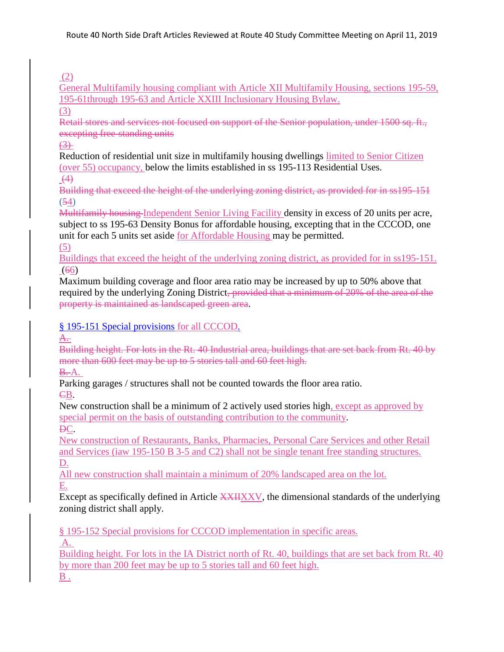# (2)

General Multifamily housing compliant with Article XII Multifamily Housing, sections 195-59, 195-61through 195-63 and Article XXIII Inclusionary Housing Bylaw.

# (3)

Retail stores and services not focused on support of the Senior population, under 1500 sq. ft., excepting free-standing units

# $(3)$

Reduction of residential unit size in multifamily housing dwellings limited to Senior Citizen (over 55) occupancy, below the limits established in ss 195-113 Residential Uses.

 $(4)$ 

Building that exceed the height of the underlying zoning district, as provided for in ss195-151 (54)

Multifamily housing Independent Senior Living Facility density in excess of 20 units per acre, subject to ss 195-63 Density Bonus for affordable housing, excepting that in the CCCOD, one unit for each 5 units set aside for Affordable Housing may be permitted.

(5)

Buildings that exceed the height of the underlying zoning district, as provided for in ss195-151. (66)

Maximum building coverage and floor area ratio may be increased by up to 50% above that required by the underlying Zoning District, provided that a minimum of 20% of the area of the property is maintained as landscaped green area.

# § 195-151 [Special provisions](https://www.ecode360.com/32190167#32190192) for all CCCOD.

A.

Building height. For lots in the Rt. 40 Industrial area, buildings that are set back from Rt. 40 by more than 600 feet may be up to 5 stories tall and 60 feet high.

**B.** [A.](https://www.ecode360.com/32190194#32190194)

Parking garages / structures shall not be counted towards the floor area ratio.

CB.

New construction shall be a minimum of 2 actively used stories high, except as approved by special permit on the basis of outstanding contribution to the community.

DC.

New construction of Restaurants, Banks, Pharmacies, Personal Care Services and other Retail and Services (iaw 195-150 B 3-5 and C2) shall not be single tenant free standing structures. D.

All new construction shall maintain a minimum of 20% landscaped area on the lot. E.

Except as specifically defined in Article XXIIXXV, the dimensional standards of the underlying zoning district shall apply.

§ 195-152 Special provisions for CCCOD implementation in specific areas.

 $A$ .

Building height. For lots in the IA District north of Rt. 40, buildings that are set back from Rt. 40 by more than 200 feet may be up to 5 stories tall and 60 feet high.  $\underline{B}$ .